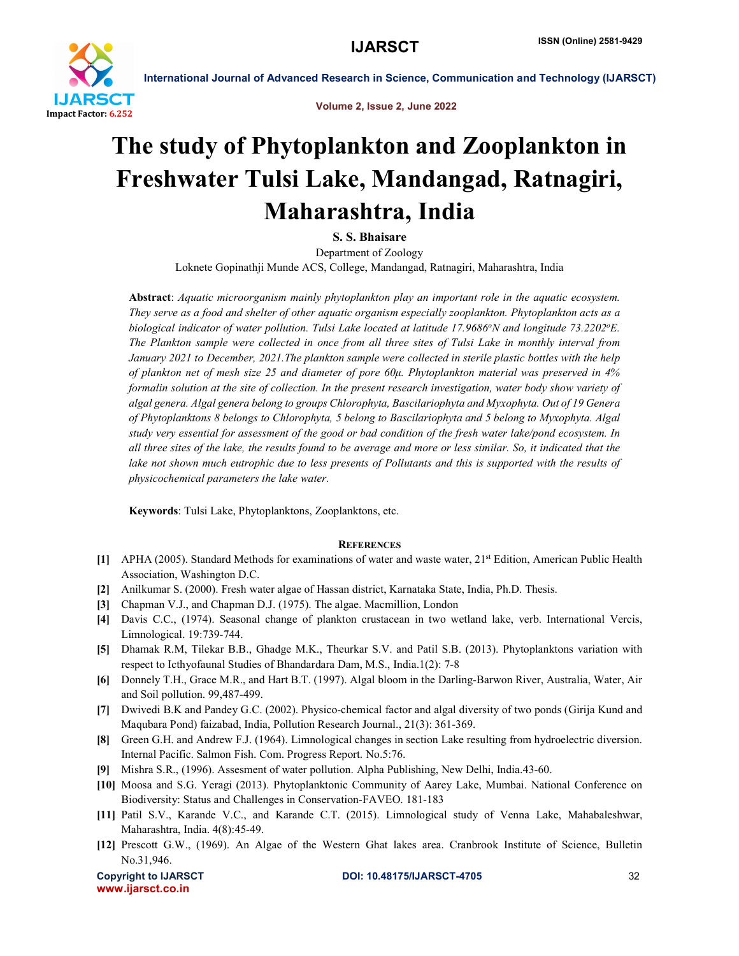

International Journal of Advanced Research in Science, Communication and Technology (IJARSCT)

Volume 2, Issue 2, June 2022

## The study of Phytoplankton and Zooplankton in Freshwater Tulsi Lake, Mandangad, Ratnagiri, Maharashtra, India

S. S. Bhaisare

Department of Zoology Loknete Gopinathji Munde ACS, College, Mandangad, Ratnagiri, Maharashtra, India

Abstract: *Aquatic microorganism mainly phytoplankton play an important role in the aquatic ecosystem. They serve as a food and shelter of other aquatic organism especially zooplankton. Phytoplankton acts as a*  biological indicator of water pollution. Tulsi Lake located at latitude 17.9686°N and longitude 73.2202°E. *The Plankton sample were collected in once from all three sites of Tulsi Lake in monthly interval from January 2021 to December, 2021.The plankton sample were collected in sterile plastic bottles with the help of plankton net of mesh size 25 and diameter of pore 60μ. Phytoplankton material was preserved in 4% formalin solution at the site of collection. In the present research investigation, water body show variety of algal genera. Algal genera belong to groups Chlorophyta, Bascilariophyta and Myxophyta. Out of 19 Genera of Phytoplanktons 8 belongs to Chlorophyta, 5 belong to Bascilariophyta and 5 belong to Myxophyta. Algal study very essential for assessment of the good or bad condition of the fresh water lake/pond ecosystem. In all three sites of the lake, the results found to be average and more or less similar. So, it indicated that the*  lake not shown much eutrophic due to less presents of Pollutants and this is supported with the results of *physicochemical parameters the lake water.*

Keywords: Tulsi Lake, Phytoplanktons, Zooplanktons, etc.

## **REFERENCES**

- [1] APHA (2005). Standard Methods for examinations of water and waste water, 21<sup>st</sup> Edition, American Public Health Association, Washington D.C.
- [2] Anilkumar S. (2000). Fresh water algae of Hassan district, Karnataka State, India, Ph.D. Thesis.
- [3] Chapman V.J., and Chapman D.J. (1975). The algae. Macmillion, London
- [4] Davis C.C., (1974). Seasonal change of plankton crustacean in two wetland lake, verb. International Vercis, Limnological. 19:739-744.
- [5] Dhamak R.M, Tilekar B.B., Ghadge M.K., Theurkar S.V. and Patil S.B. (2013). Phytoplanktons variation with respect to Icthyofaunal Studies of Bhandardara Dam, M.S., India.1(2): 7-8
- [6] Donnely T.H., Grace M.R., and Hart B.T. (1997). Algal bloom in the Darling-Barwon River, Australia, Water, Air and Soil pollution. 99,487-499.
- [7] Dwivedi B.K and Pandey G.C. (2002). Physico-chemical factor and algal diversity of two ponds (Girija Kund and Maqubara Pond) faizabad, India, Pollution Research Journal., 21(3): 361-369.
- [8] Green G.H. and Andrew F.J. (1964). Limnological changes in section Lake resulting from hydroelectric diversion. Internal Pacific. Salmon Fish. Com. Progress Report. No.5:76.
- [9] Mishra S.R., (1996). Assesment of water pollution. Alpha Publishing, New Delhi, India.43-60.
- [10] Moosa and S.G. Yeragi (2013). Phytoplanktonic Community of Aarey Lake, Mumbai. National Conference on Biodiversity: Status and Challenges in Conservation-FAVEO. 181-183
- [11] Patil S.V., Karande V.C., and Karande C.T. (2015). Limnological study of Venna Lake, Mahabaleshwar, Maharashtra, India. 4(8):45-49.
- [12] Prescott G.W., (1969). An Algae of the Western Ghat lakes area. Cranbrook Institute of Science, Bulletin No.31,946.

www.ijarsct.co.in